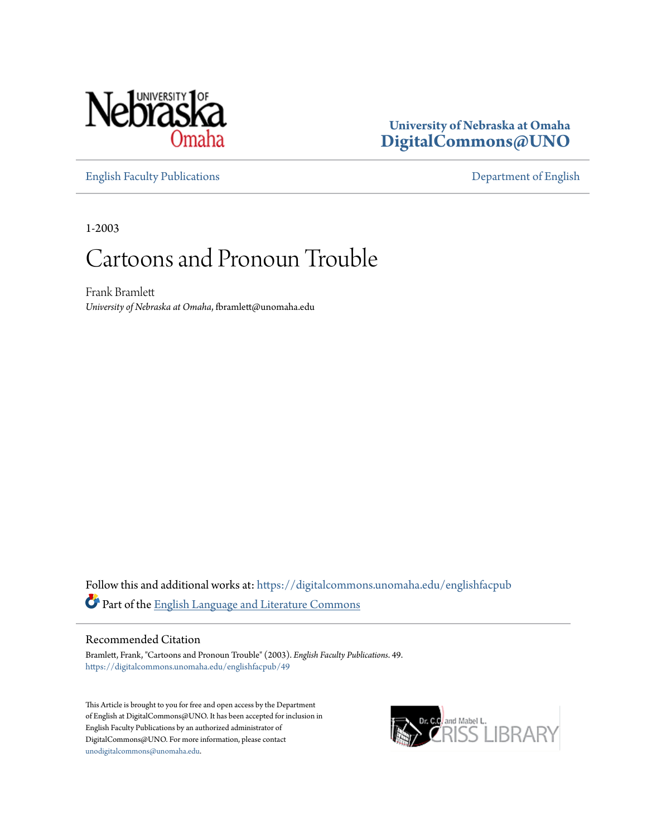

### **University of Nebraska at Omaha [DigitalCommons@UNO](https://digitalcommons.unomaha.edu?utm_source=digitalcommons.unomaha.edu%2Fenglishfacpub%2F49&utm_medium=PDF&utm_campaign=PDFCoverPages)**

[English Faculty Publications](https://digitalcommons.unomaha.edu/englishfacpub?utm_source=digitalcommons.unomaha.edu%2Fenglishfacpub%2F49&utm_medium=PDF&utm_campaign=PDFCoverPages) [Department of English](https://digitalcommons.unomaha.edu/english?utm_source=digitalcommons.unomaha.edu%2Fenglishfacpub%2F49&utm_medium=PDF&utm_campaign=PDFCoverPages)

1-2003

## Cartoons and Pronoun Trouble

Frank Bramlett *University of Nebraska at Omaha*, fbramlett@unomaha.edu

Follow this and additional works at: [https://digitalcommons.unomaha.edu/englishfacpub](https://digitalcommons.unomaha.edu/englishfacpub?utm_source=digitalcommons.unomaha.edu%2Fenglishfacpub%2F49&utm_medium=PDF&utm_campaign=PDFCoverPages) Part of the [English Language and Literature Commons](http://network.bepress.com/hgg/discipline/455?utm_source=digitalcommons.unomaha.edu%2Fenglishfacpub%2F49&utm_medium=PDF&utm_campaign=PDFCoverPages)

#### Recommended Citation

Bramlett, Frank, "Cartoons and Pronoun Trouble" (2003). *English Faculty Publications*. 49. [https://digitalcommons.unomaha.edu/englishfacpub/49](https://digitalcommons.unomaha.edu/englishfacpub/49?utm_source=digitalcommons.unomaha.edu%2Fenglishfacpub%2F49&utm_medium=PDF&utm_campaign=PDFCoverPages)

This Article is brought to you for free and open access by the Department of English at DigitalCommons@UNO. It has been accepted for inclusion in English Faculty Publications by an authorized administrator of DigitalCommons@UNO. For more information, please contact [unodigitalcommons@unomaha.edu](mailto:unodigitalcommons@unomaha.edu).